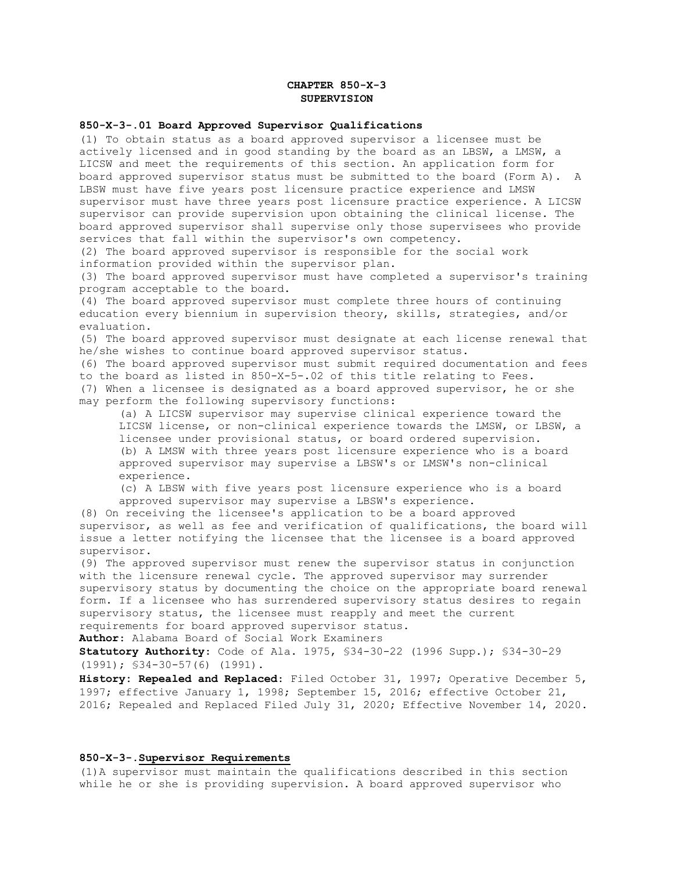# **CHAPTER 850-X-3 SUPERVISION**

#### **850-X-3-.01 Board Approved Supervisor Qualifications**

(1) To obtain status as a board approved supervisor a licensee must be actively licensed and in good standing by the board as an LBSW, a LMSW, a LICSW and meet the requirements of this section. An application form for board approved supervisor status must be submitted to the board (Form A). A LBSW must have five years post licensure practice experience and LMSW supervisor must have three years post licensure practice experience. A LICSW supervisor can provide supervision upon obtaining the clinical license. The board approved supervisor shall supervise only those supervisees who provide services that fall within the supervisor's own competency.

(2) The board approved supervisor is responsible for the social work information provided within the supervisor plan.

(3) The board approved supervisor must have completed a supervisor's training program acceptable to the board.

(4) The board approved supervisor must complete three hours of continuing education every biennium in supervision theory, skills, strategies, and/or evaluation.

(5) The board approved supervisor must designate at each license renewal that he/she wishes to continue board approved supervisor status.

(6) The board approved supervisor must submit required documentation and fees to the board as listed in 850-X-5-.02 of this title relating to Fees.

(7) When a licensee is designated as a board approved supervisor, he or she may perform the following supervisory functions:

(a) A LICSW supervisor may supervise clinical experience toward the LICSW license, or non-clinical experience towards the LMSW, or LBSW, a licensee under provisional status, or board ordered supervision. (b) A LMSW with three years post licensure experience who is a board approved supervisor may supervise a LBSW's or LMSW's non-clinical experience.

(c) A LBSW with five years post licensure experience who is a board approved supervisor may supervise a LBSW's experience.

(8) On receiving the licensee's application to be a board approved supervisor, as well as fee and verification of qualifications, the board will issue a letter notifying the licensee that the licensee is a board approved supervisor.

(9) The approved supervisor must renew the supervisor status in conjunction with the licensure renewal cycle. The approved supervisor may surrender supervisory status by documenting the choice on the appropriate board renewal form. If a licensee who has surrendered supervisory status desires to regain supervisory status, the licensee must reapply and meet the current requirements for board approved supervisor status.

**Author**: Alabama Board of Social Work Examiners

**Statutory Authority**: Code of Ala. 1975, §34-30-22 (1996 Supp.); §34-30-29 (1991); §34-30-57(6) (1991).

**History: Repealed and Replaced**: Filed October 31, 1997; Operative December 5, 1997; effective January 1, 1998; September 15, 2016; effective October 21, 2016; Repealed and Replaced Filed July 31, 2020; Effective November 14, 2020.

#### **850-X-3-.Supervisor Requirements**

(1)A supervisor must maintain the qualifications described in this section while he or she is providing supervision. A board approved supervisor who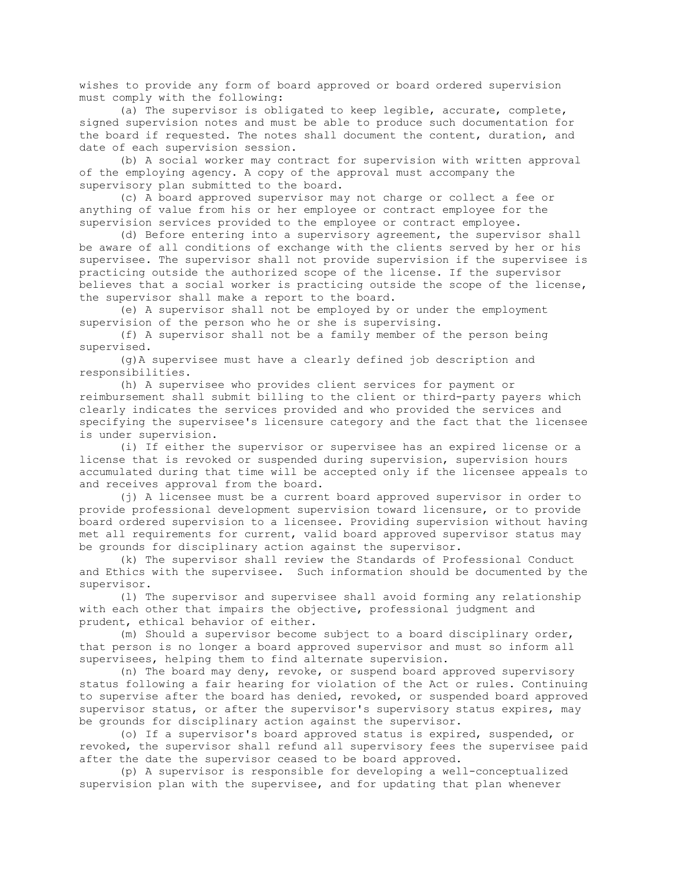wishes to provide any form of board approved or board ordered supervision must comply with the following:

(a) The supervisor is obligated to keep legible, accurate, complete, signed supervision notes and must be able to produce such documentation for the board if requested. The notes shall document the content, duration, and date of each supervision session.

(b) A social worker may contract for supervision with written approval of the employing agency. A copy of the approval must accompany the supervisory plan submitted to the board.

(c) A board approved supervisor may not charge or collect a fee or anything of value from his or her employee or contract employee for the supervision services provided to the employee or contract employee.

(d) Before entering into a supervisory agreement, the supervisor shall be aware of all conditions of exchange with the clients served by her or his supervisee. The supervisor shall not provide supervision if the supervisee is practicing outside the authorized scope of the license. If the supervisor believes that a social worker is practicing outside the scope of the license, the supervisor shall make a report to the board.

(e) A supervisor shall not be employed by or under the employment supervision of the person who he or she is supervising.

(f) A supervisor shall not be a family member of the person being supervised.

(g)A supervisee must have a clearly defined job description and responsibilities.

(h) A supervisee who provides client services for payment or reimbursement shall submit billing to the client or third-party payers which clearly indicates the services provided and who provided the services and specifying the supervisee's licensure category and the fact that the licensee is under supervision.

(i) If either the supervisor or supervisee has an expired license or a license that is revoked or suspended during supervision, supervision hours accumulated during that time will be accepted only if the licensee appeals to and receives approval from the board.

(j) A licensee must be a current board approved supervisor in order to provide professional development supervision toward licensure, or to provide board ordered supervision to a licensee. Providing supervision without having met all requirements for current, valid board approved supervisor status may be grounds for disciplinary action against the supervisor.

(k) The supervisor shall review the Standards of Professional Conduct and Ethics with the supervisee. Such information should be documented by the supervisor.

(l) The supervisor and supervisee shall avoid forming any relationship with each other that impairs the objective, professional judgment and prudent, ethical behavior of either.

(m) Should a supervisor become subject to a board disciplinary order, that person is no longer a board approved supervisor and must so inform all supervisees, helping them to find alternate supervision.

(n) The board may deny, revoke, or suspend board approved supervisory status following a fair hearing for violation of the Act or rules. Continuing to supervise after the board has denied, revoked, or suspended board approved supervisor status, or after the supervisor's supervisory status expires, may be grounds for disciplinary action against the supervisor.

(o) If a supervisor's board approved status is expired, suspended, or revoked, the supervisor shall refund all supervisory fees the supervisee paid after the date the supervisor ceased to be board approved.

(p) A supervisor is responsible for developing a well-conceptualized supervision plan with the supervisee, and for updating that plan whenever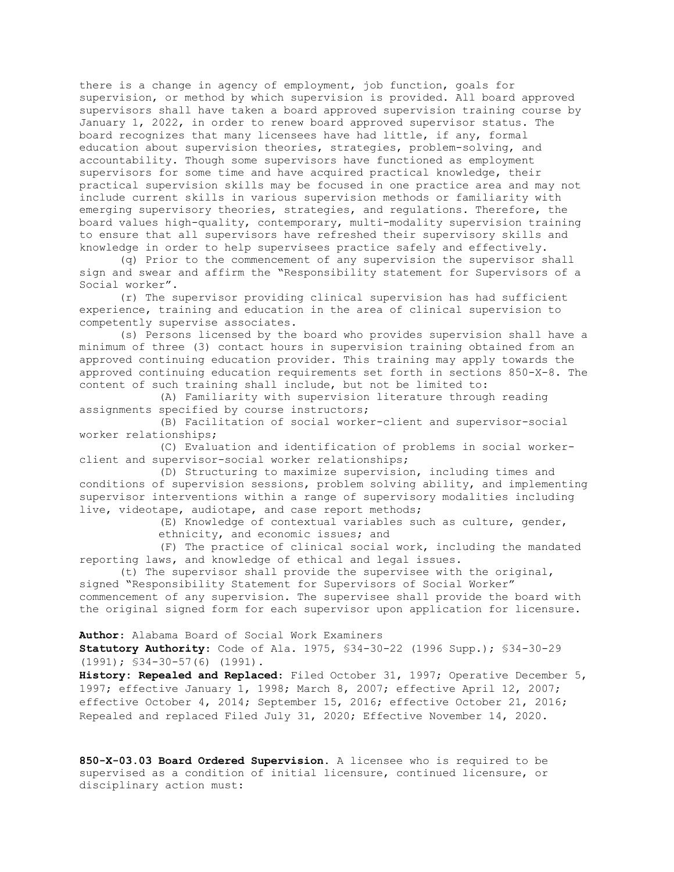there is a change in agency of employment, job function, goals for supervision, or method by which supervision is provided. All board approved supervisors shall have taken a board approved supervision training course by January 1, 2022, in order to renew board approved supervisor status. The board recognizes that many licensees have had little, if any, formal education about supervision theories, strategies, problem-solving, and accountability. Though some supervisors have functioned as employment supervisors for some time and have acquired practical knowledge, their practical supervision skills may be focused in one practice area and may not include current skills in various supervision methods or familiarity with emerging supervisory theories, strategies, and regulations. Therefore, the board values high-quality, contemporary, multi-modality supervision training to ensure that all supervisors have refreshed their supervisory skills and knowledge in order to help supervisees practice safely and effectively.

(q) Prior to the commencement of any supervision the supervisor shall sign and swear and affirm the "Responsibility statement for Supervisors of a Social worker".

(r) The supervisor providing clinical supervision has had sufficient experience, training and education in the area of clinical supervision to competently supervise associates.

(s) Persons licensed by the board who provides supervision shall have a minimum of three (3) contact hours in supervision training obtained from an approved continuing education provider. This training may apply towards the approved continuing education requirements set forth in sections 850-X-8. The content of such training shall include, but not be limited to:

(A) Familiarity with supervision literature through reading assignments specified by course instructors;

(B) Facilitation of social worker-client and supervisor-social worker relationships;

(C) Evaluation and identification of problems in social workerclient and supervisor-social worker relationships;

(D) Structuring to maximize supervision, including times and conditions of supervision sessions, problem solving ability, and implementing supervisor interventions within a range of supervisory modalities including live, videotape, audiotape, and case report methods;

> (E) Knowledge of contextual variables such as culture, gender, ethnicity, and economic issues; and

(F) The practice of clinical social work, including the mandated reporting laws, and knowledge of ethical and legal issues.

(t) The supervisor shall provide the supervisee with the original, signed "Responsibility Statement for Supervisors of Social Worker" commencement of any supervision. The supervisee shall provide the board with the original signed form for each supervisor upon application for licensure.

**Author**: Alabama Board of Social Work Examiners

**Statutory Authority**: Code of Ala. 1975, §34-30-22 (1996 Supp.); §34-30-29 (1991); §34-30-57(6) (1991).

**History: Repealed and Replaced**: Filed October 31, 1997; Operative December 5, 1997; effective January 1, 1998; March 8, 2007; effective April 12, 2007; effective October 4, 2014; September 15, 2016; effective October 21, 2016; Repealed and replaced Filed July 31, 2020; Effective November 14, 2020.

**850-X-03.03 Board Ordered Supervision.** A licensee who is required to be supervised as a condition of initial licensure, continued licensure, or disciplinary action must: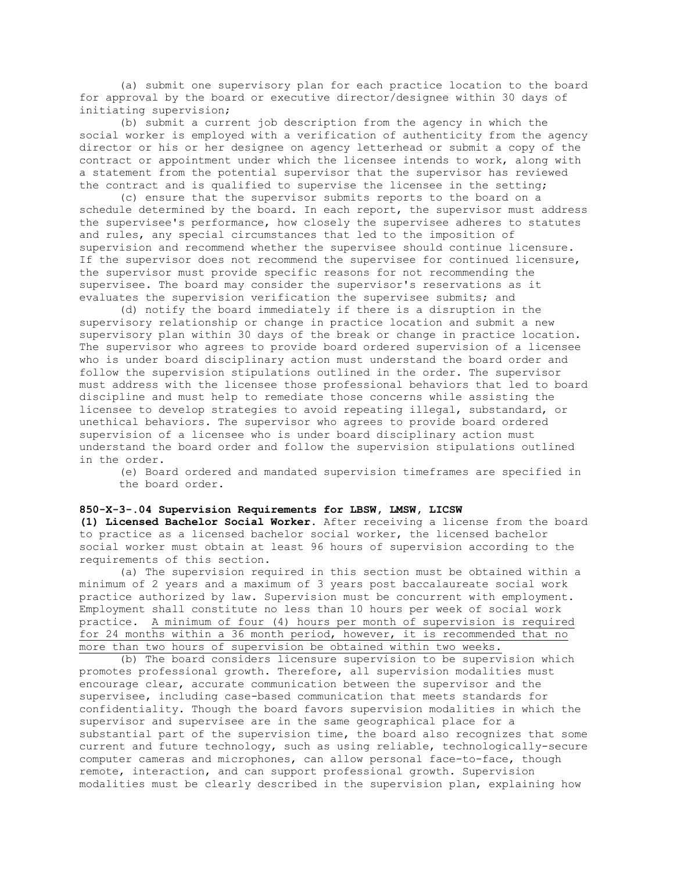(a) submit one supervisory plan for each practice location to the board for approval by the board or executive director/designee within 30 days of initiating supervision;

(b) submit a current job description from the agency in which the social worker is employed with a verification of authenticity from the agency director or his or her designee on agency letterhead or submit a copy of the contract or appointment under which the licensee intends to work, along with a statement from the potential supervisor that the supervisor has reviewed the contract and is qualified to supervise the licensee in the setting;

(c) ensure that the supervisor submits reports to the board on a schedule determined by the board. In each report, the supervisor must address the supervisee's performance, how closely the supervisee adheres to statutes and rules, any special circumstances that led to the imposition of supervision and recommend whether the supervisee should continue licensure. If the supervisor does not recommend the supervisee for continued licensure, the supervisor must provide specific reasons for not recommending the supervisee. The board may consider the supervisor's reservations as it evaluates the supervision verification the supervisee submits; and

(d) notify the board immediately if there is a disruption in the supervisory relationship or change in practice location and submit a new supervisory plan within 30 days of the break or change in practice location. The supervisor who agrees to provide board ordered supervision of a licensee who is under board disciplinary action must understand the board order and follow the supervision stipulations outlined in the order. The supervisor must address with the licensee those professional behaviors that led to board discipline and must help to remediate those concerns while assisting the licensee to develop strategies to avoid repeating illegal, substandard, or unethical behaviors. The supervisor who agrees to provide board ordered supervision of a licensee who is under board disciplinary action must understand the board order and follow the supervision stipulations outlined in the order.

(e) Board ordered and mandated supervision timeframes are specified in the board order.

# **850-X-3-.04 Supervision Requirements for LBSW, LMSW, LICSW**

**(1) Licensed Bachelor Social Worker**. After receiving a license from the board to practice as a licensed bachelor social worker, the licensed bachelor social worker must obtain at least 96 hours of supervision according to the requirements of this section.

(a) The supervision required in this section must be obtained within a minimum of 2 years and a maximum of 3 years post baccalaureate social work practice authorized by law. Supervision must be concurrent with employment. Employment shall constitute no less than 10 hours per week of social work practice. A minimum of four (4) hours per month of supervision is required for 24 months within a 36 month period, however, it is recommended that no more than two hours of supervision be obtained within two weeks.

(b) The board considers licensure supervision to be supervision which promotes professional growth. Therefore, all supervision modalities must encourage clear, accurate communication between the supervisor and the supervisee, including case-based communication that meets standards for confidentiality. Though the board favors supervision modalities in which the supervisor and supervisee are in the same geographical place for a substantial part of the supervision time, the board also recognizes that some current and future technology, such as using reliable, technologically-secure computer cameras and microphones, can allow personal face-to-face, though remote, interaction, and can support professional growth. Supervision modalities must be clearly described in the supervision plan, explaining how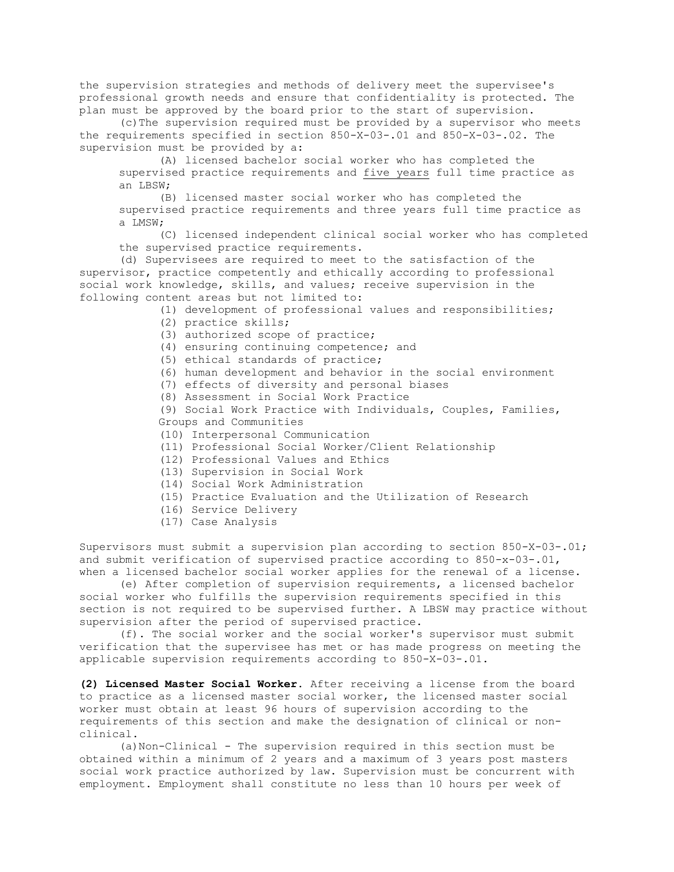the supervision strategies and methods of delivery meet the supervisee's professional growth needs and ensure that confidentiality is protected. The plan must be approved by the board prior to the start of supervision.

(c)The supervision required must be provided by a supervisor who meets the requirements specified in section 850-X-03-.01 and 850-X-03-.02. The supervision must be provided by a:

(A) licensed bachelor social worker who has completed the supervised practice requirements and five years full time practice as an LBSW;

(B) licensed master social worker who has completed the supervised practice requirements and three years full time practice as a LMSW;

(C) licensed independent clinical social worker who has completed the supervised practice requirements.

(d) Supervisees are required to meet to the satisfaction of the supervisor, practice competently and ethically according to professional social work knowledge, skills, and values; receive supervision in the following content areas but not limited to:

- (1) development of professional values and responsibilities;
- (2) practice skills;
- (3) authorized scope of practice;
- (4) ensuring continuing competence; and
- (5) ethical standards of practice;
- (6) human development and behavior in the social environment
- (7) effects of diversity and personal biases
- (8) Assessment in Social Work Practice

(9) Social Work Practice with Individuals, Couples, Families, Groups and Communities

- (10) Interpersonal Communication
- (11) Professional Social Worker/Client Relationship
- (12) Professional Values and Ethics
- (13) Supervision in Social Work
- (14) Social Work Administration
- (15) Practice Evaluation and the Utilization of Research
- (16) Service Delivery
- (17) Case Analysis

Supervisors must submit a supervision plan according to section 850-X-03-.01; and submit verification of supervised practice according to  $850-x-03-.01$ , when a licensed bachelor social worker applies for the renewal of a license.

(e) After completion of supervision requirements, a licensed bachelor social worker who fulfills the supervision requirements specified in this section is not required to be supervised further. A LBSW may practice without supervision after the period of supervised practice.

(f). The social worker and the social worker's supervisor must submit verification that the supervisee has met or has made progress on meeting the applicable supervision requirements according to 850-X-03-.01.

**(2) Licensed Master Social Worker.** After receiving a license from the board to practice as a licensed master social worker, the licensed master social worker must obtain at least 96 hours of supervision according to the requirements of this section and make the designation of clinical or nonclinical.

(a)Non-Clinical - The supervision required in this section must be obtained within a minimum of 2 years and a maximum of 3 years post masters social work practice authorized by law. Supervision must be concurrent with employment. Employment shall constitute no less than 10 hours per week of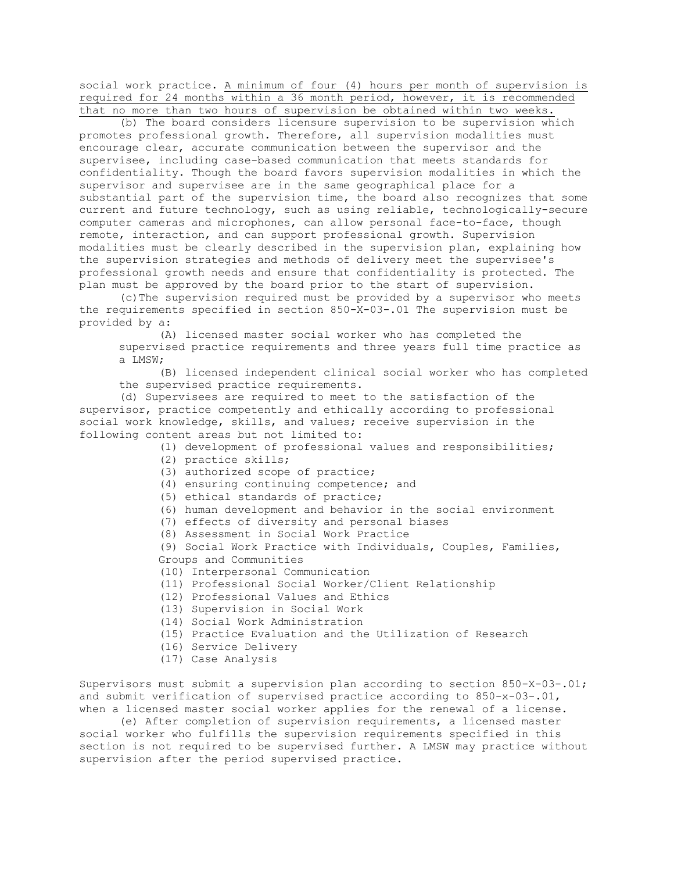social work practice. A minimum of four (4) hours per month of supervision is required for 24 months within a 36 month period, however, it is recommended that no more than two hours of supervision be obtained within two weeks.

(b) The board considers licensure supervision to be supervision which promotes professional growth. Therefore, all supervision modalities must encourage clear, accurate communication between the supervisor and the supervisee, including case-based communication that meets standards for confidentiality. Though the board favors supervision modalities in which the supervisor and supervisee are in the same geographical place for a substantial part of the supervision time, the board also recognizes that some current and future technology, such as using reliable, technologically-secure computer cameras and microphones, can allow personal face-to-face, though remote, interaction, and can support professional growth. Supervision modalities must be clearly described in the supervision plan, explaining how the supervision strategies and methods of delivery meet the supervisee's professional growth needs and ensure that confidentiality is protected. The plan must be approved by the board prior to the start of supervision.

(c)The supervision required must be provided by a supervisor who meets the requirements specified in section 850-X-03-.01 The supervision must be provided by a:

(A) licensed master social worker who has completed the supervised practice requirements and three years full time practice as a LMSW;

(B) licensed independent clinical social worker who has completed the supervised practice requirements.

(d) Supervisees are required to meet to the satisfaction of the supervisor, practice competently and ethically according to professional social work knowledge, skills, and values; receive supervision in the following content areas but not limited to:

(1) development of professional values and responsibilities;

- (2) practice skills;
- (3) authorized scope of practice;
- (4) ensuring continuing competence; and
- (5) ethical standards of practice;
- (6) human development and behavior in the social environment
- (7) effects of diversity and personal biases
- (8) Assessment in Social Work Practice

(9) Social Work Practice with Individuals, Couples, Families, Groups and Communities

- (10) Interpersonal Communication
- (11) Professional Social Worker/Client Relationship
- (12) Professional Values and Ethics
- (13) Supervision in Social Work
- (14) Social Work Administration
- (15) Practice Evaluation and the Utilization of Research
- (16) Service Delivery
- (17) Case Analysis

Supervisors must submit a supervision plan according to section 850-X-03-.01; and submit verification of supervised practice according to  $850-x-03-.01$ , when a licensed master social worker applies for the renewal of a license.

(e) After completion of supervision requirements, a licensed master social worker who fulfills the supervision requirements specified in this section is not required to be supervised further. A LMSW may practice without supervision after the period supervised practice.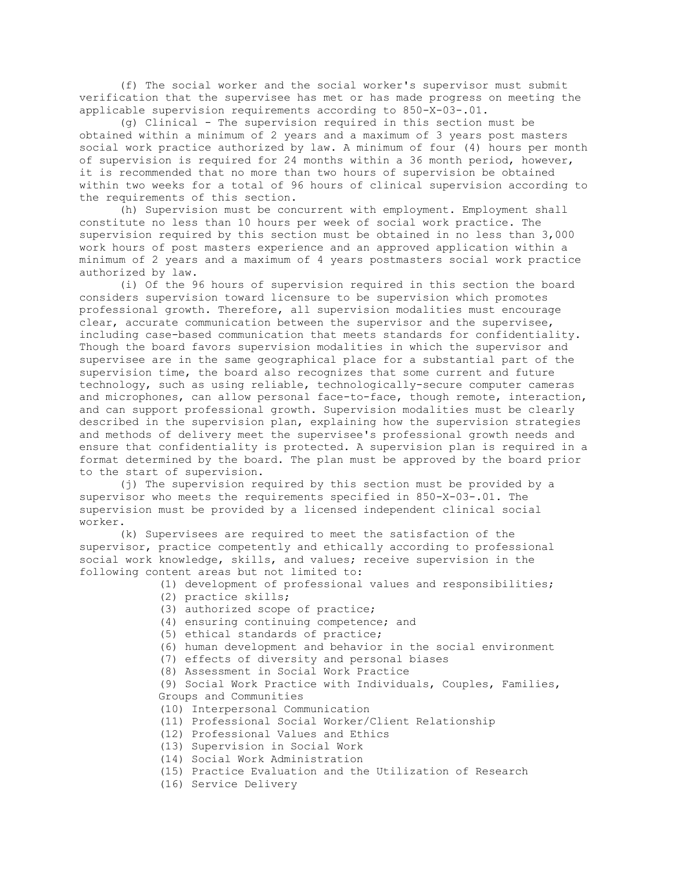(f) The social worker and the social worker's supervisor must submit verification that the supervisee has met or has made progress on meeting the applicable supervision requirements according to 850-X-03-.01.

(g) Clinical - The supervision required in this section must be obtained within a minimum of 2 years and a maximum of 3 years post masters social work practice authorized by law. A minimum of four (4) hours per month of supervision is required for 24 months within a 36 month period, however, it is recommended that no more than two hours of supervision be obtained within two weeks for a total of 96 hours of clinical supervision according to the requirements of this section.

(h) Supervision must be concurrent with employment. Employment shall constitute no less than 10 hours per week of social work practice. The supervision required by this section must be obtained in no less than 3,000 work hours of post masters experience and an approved application within a minimum of 2 years and a maximum of 4 years postmasters social work practice authorized by law.

(i) Of the 96 hours of supervision required in this section the board considers supervision toward licensure to be supervision which promotes professional growth. Therefore, all supervision modalities must encourage clear, accurate communication between the supervisor and the supervisee, including case-based communication that meets standards for confidentiality. Though the board favors supervision modalities in which the supervisor and supervisee are in the same geographical place for a substantial part of the supervision time, the board also recognizes that some current and future technology, such as using reliable, technologically-secure computer cameras and microphones, can allow personal face-to-face, though remote, interaction, and can support professional growth. Supervision modalities must be clearly described in the supervision plan, explaining how the supervision strategies and methods of delivery meet the supervisee's professional growth needs and ensure that confidentiality is protected. A supervision plan is required in a format determined by the board. The plan must be approved by the board prior to the start of supervision.

(j) The supervision required by this section must be provided by a supervisor who meets the requirements specified in 850-X-03-.01. The supervision must be provided by a licensed independent clinical social worker.

(k) Supervisees are required to meet the satisfaction of the supervisor, practice competently and ethically according to professional social work knowledge, skills, and values; receive supervision in the following content areas but not limited to:

- (1) development of professional values and responsibilities;
- (2) practice skills;
- (3) authorized scope of practice;
- (4) ensuring continuing competence; and
- (5) ethical standards of practice;
- (6) human development and behavior in the social environment
- (7) effects of diversity and personal biases
- (8) Assessment in Social Work Practice

(9) Social Work Practice with Individuals, Couples, Families, Groups and Communities

- (10) Interpersonal Communication
- (11) Professional Social Worker/Client Relationship
- (12) Professional Values and Ethics
- (13) Supervision in Social Work
- (14) Social Work Administration
- (15) Practice Evaluation and the Utilization of Research
- (16) Service Delivery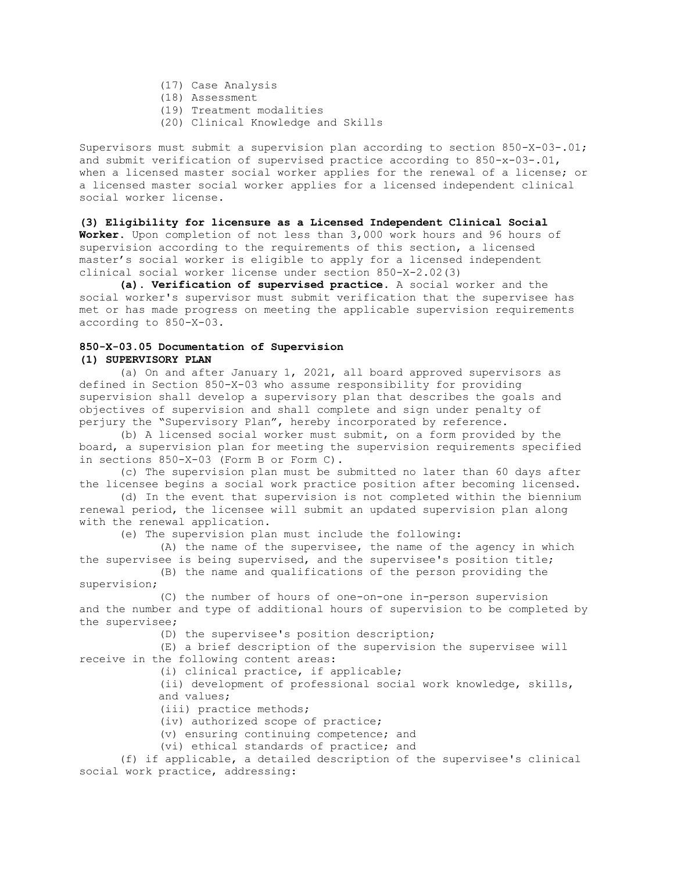- (17) Case Analysis
- (18) Assessment
- (19) Treatment modalities
- (20) Clinical Knowledge and Skills

Supervisors must submit a supervision plan according to section 850-X-03-.01; and submit verification of supervised practice according to  $850-x-03-.01$ , when a licensed master social worker applies for the renewal of a license; or a licensed master social worker applies for a licensed independent clinical social worker license.

### **(3) Eligibility for licensure as a Licensed Independent Clinical Social**

**Worker.** Upon completion of not less than 3,000 work hours and 96 hours of supervision according to the requirements of this section, a licensed master's social worker is eligible to apply for a licensed independent clinical social worker license under section 850-X-2.02(3)

**(a). Verification of supervised practice.** A social worker and the social worker's supervisor must submit verification that the supervisee has met or has made progress on meeting the applicable supervision requirements according to 850-X-03.

## **850-X-03.05 Documentation of Supervision (1) SUPERVISORY PLAN**

(a) On and after January 1, 2021, all board approved supervisors as defined in Section 850-X-03 who assume responsibility for providing supervision shall develop a supervisory plan that describes the goals and objectives of supervision and shall complete and sign under penalty of perjury the "Supervisory Plan", hereby incorporated by reference.

(b) A licensed social worker must submit, on a form provided by the board, a supervision plan for meeting the supervision requirements specified in sections 850-X-03 (Form B or Form C).

(c) The supervision plan must be submitted no later than 60 days after the licensee begins a social work practice position after becoming licensed.

(d) In the event that supervision is not completed within the biennium renewal period, the licensee will submit an updated supervision plan along with the renewal application.

(e) The supervision plan must include the following:

(A) the name of the supervisee, the name of the agency in which the supervisee is being supervised, and the supervisee's position title; (B) the name and qualifications of the person providing the

supervision;

(C) the number of hours of one-on-one in-person supervision and the number and type of additional hours of supervision to be completed by the supervisee;

(D) the supervisee's position description;

(E) a brief description of the supervision the supervisee will receive in the following content areas:

(i) clinical practice, if applicable;

(ii) development of professional social work knowledge, skills, and values;

(iii) practice methods;

(iv) authorized scope of practice;

(v) ensuring continuing competence; and

(vi) ethical standards of practice; and

(f) if applicable, a detailed description of the supervisee's clinical social work practice, addressing: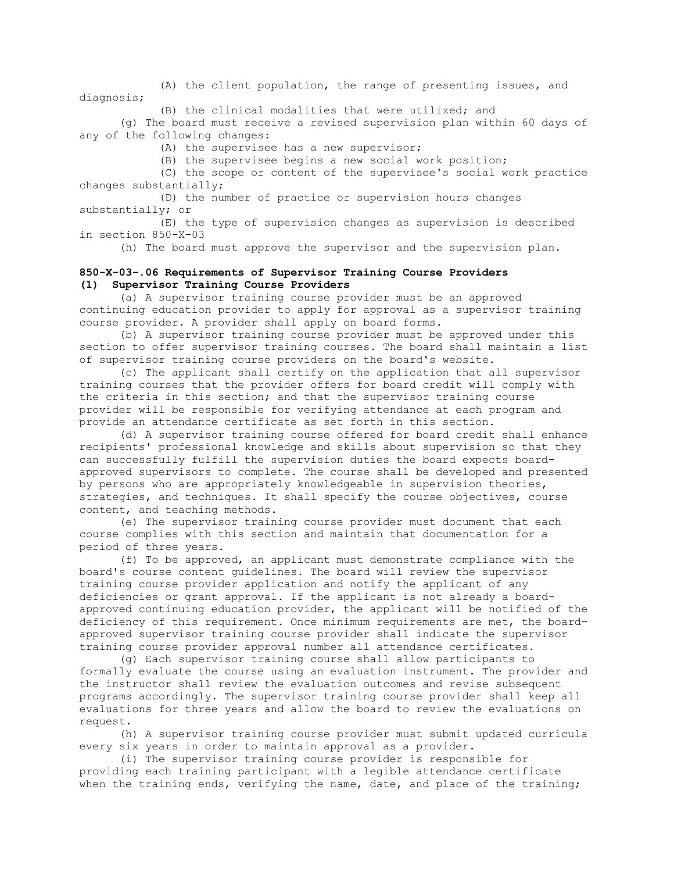(A) the client population, the range of presenting issues, and diagnosis;

(B) the clinical modalities that were utilized; and

(g) The board must receive a revised supervision plan within 60 days of any of the following changes:

(A) the supervisee has a new supervisor;

(B) the supervisee begins a new social work position;

(C) the scope or content of the supervisee's social work practice changes substantially;

(D) the number of practice or supervision hours changes substantially; or

(E) the type of supervision changes as supervision is described in section 850-X-03

(h) The board must approve the supervisor and the supervision plan.

## **850-X-03-.06 Requirements of Supervisor Training Course Providers (1) Supervisor Training Course Providers**

(a) A supervisor training course provider must be an approved continuing education provider to apply for approval as a supervisor training course provider. A provider shall apply on board forms.

(b) A supervisor training course provider must be approved under this section to offer supervisor training courses. The board shall maintain a list of supervisor training course providers on the board's website.

(c) The applicant shall certify on the application that all supervisor training courses that the provider offers for board credit will comply with the criteria in this section; and that the supervisor training course provider will be responsible for verifying attendance at each program and provide an attendance certificate as set forth in this section.

(d) A supervisor training course offered for board credit shall enhance recipients' professional knowledge and skills about supervision so that they can successfully fulfill the supervision duties the board expects boardapproved supervisors to complete. The course shall be developed and presented by persons who are appropriately knowledgeable in supervision theories, strategies, and techniques. It shall specify the course objectives, course content, and teaching methods.

(e) The supervisor training course provider must document that each course complies with this section and maintain that documentation for a period of three years.

(f) To be approved, an applicant must demonstrate compliance with the board's course content guidelines. The board will review the supervisor training course provider application and notify the applicant of any deficiencies or grant approval. If the applicant is not already a boardapproved continuing education provider, the applicant will be notified of the deficiency of this requirement. Once minimum requirements are met, the boardapproved supervisor training course provider shall indicate the supervisor training course provider approval number all attendance certificates.

(g) Each supervisor training course shall allow participants to formally evaluate the course using an evaluation instrument. The provider and the instructor shall review the evaluation outcomes and revise subsequent programs accordingly. The supervisor training course provider shall keep all evaluations for three years and allow the board to review the evaluations on request.

(h) A supervisor training course provider must submit updated curricula every six years in order to maintain approval as a provider.

(i) The supervisor training course provider is responsible for providing each training participant with a legible attendance certificate when the training ends, verifying the name, date, and place of the training;